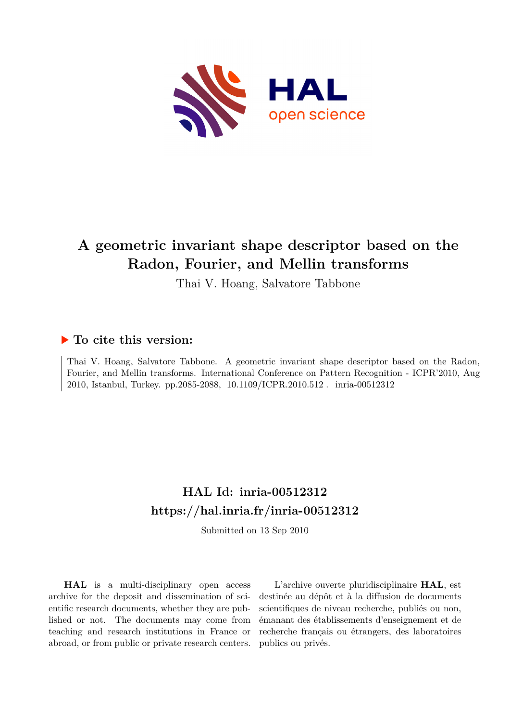

# **A geometric invariant shape descriptor based on the Radon, Fourier, and Mellin transforms**

Thai V. Hoang, Salvatore Tabbone

# **To cite this version:**

Thai V. Hoang, Salvatore Tabbone. A geometric invariant shape descriptor based on the Radon, Fourier, and Mellin transforms. International Conference on Pattern Recognition - ICPR'2010, Aug 2010, Istanbul, Turkey. pp.2085-2088, 10.1109/ICPR.2010.512. inria-00512312

# **HAL Id: inria-00512312 <https://hal.inria.fr/inria-00512312>**

Submitted on 13 Sep 2010

**HAL** is a multi-disciplinary open access archive for the deposit and dissemination of scientific research documents, whether they are published or not. The documents may come from teaching and research institutions in France or abroad, or from public or private research centers.

L'archive ouverte pluridisciplinaire **HAL**, est destinée au dépôt et à la diffusion de documents scientifiques de niveau recherche, publiés ou non, émanant des établissements d'enseignement et de recherche français ou étrangers, des laboratoires publics ou privés.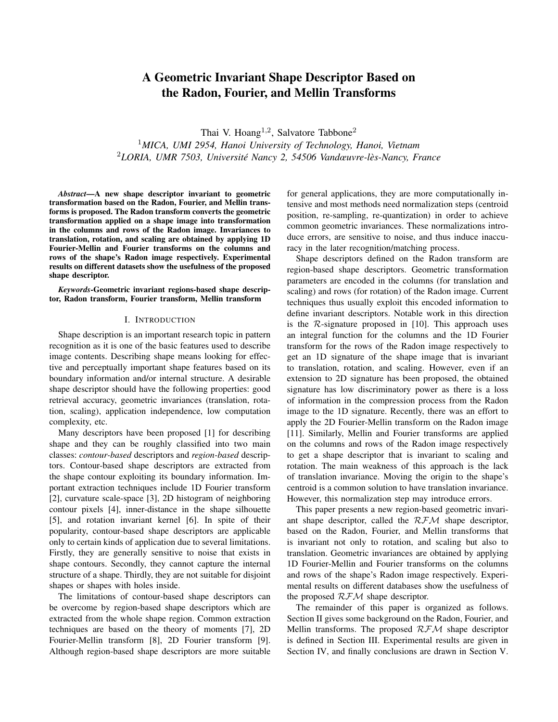# A Geometric Invariant Shape Descriptor Based on the Radon, Fourier, and Mellin Transforms

Thai V. Hoang<sup>1,2</sup>, Salvatore Tabbone<sup>2</sup> <sup>1</sup>*MICA, UMI 2954, Hanoi University of Technology, Hanoi, Vietnam* <sup>2</sup>LORIA, UMR 7503, Université Nancy 2, 54506 Vandœuvre-lès-Nancy, France

*Abstract*—A new shape descriptor invariant to geometric transformation based on the Radon, Fourier, and Mellin transforms is proposed. The Radon transform converts the geometric transformation applied on a shape image into transformation in the columns and rows of the Radon image. Invariances to translation, rotation, and scaling are obtained by applying 1D Fourier-Mellin and Fourier transforms on the columns and rows of the shape's Radon image respectively. Experimental results on different datasets show the usefulness of the proposed shape descriptor.

*Keywords*-Geometric invariant regions-based shape descriptor, Radon transform, Fourier transform, Mellin transform

## I. INTRODUCTION

Shape description is an important research topic in pattern recognition as it is one of the basic features used to describe image contents. Describing shape means looking for effective and perceptually important shape features based on its boundary information and/or internal structure. A desirable shape descriptor should have the following properties: good retrieval accuracy, geometric invariances (translation, rotation, scaling), application independence, low computation complexity, etc.

Many descriptors have been proposed [1] for describing shape and they can be roughly classified into two main classes: *contour-based* descriptors and *region-based* descriptors. Contour-based shape descriptors are extracted from the shape contour exploiting its boundary information. Important extraction techniques include 1D Fourier transform [2], curvature scale-space [3], 2D histogram of neighboring contour pixels [4], inner-distance in the shape silhouette [5], and rotation invariant kernel [6]. In spite of their popularity, contour-based shape descriptors are applicable only to certain kinds of application due to several limitations. Firstly, they are generally sensitive to noise that exists in shape contours. Secondly, they cannot capture the internal structure of a shape. Thirdly, they are not suitable for disjoint shapes or shapes with holes inside.

The limitations of contour-based shape descriptors can be overcome by region-based shape descriptors which are extracted from the whole shape region. Common extraction techniques are based on the theory of moments [7], 2D Fourier-Mellin transform [8], 2D Fourier transform [9]. Although region-based shape descriptors are more suitable for general applications, they are more computationally intensive and most methods need normalization steps (centroid position, re-sampling, re-quantization) in order to achieve common geometric invariances. These normalizations introduce errors, are sensitive to noise, and thus induce inaccuracy in the later recognition/matching process.

Shape descriptors defined on the Radon transform are region-based shape descriptors. Geometric transformation parameters are encoded in the columns (for translation and scaling) and rows (for rotation) of the Radon image. Current techniques thus usually exploit this encoded information to define invariant descriptors. Notable work in this direction is the  $\mathcal{R}$ -signature proposed in [10]. This approach uses an integral function for the columns and the 1D Fourier transform for the rows of the Radon image respectively to get an 1D signature of the shape image that is invariant to translation, rotation, and scaling. However, even if an extension to 2D signature has been proposed, the obtained signature has low discriminatory power as there is a loss of information in the compression process from the Radon image to the 1D signature. Recently, there was an effort to apply the 2D Fourier-Mellin transform on the Radon image [11]. Similarly, Mellin and Fourier transforms are applied on the columns and rows of the Radon image respectively to get a shape descriptor that is invariant to scaling and rotation. The main weakness of this approach is the lack of translation invariance. Moving the origin to the shape's centroid is a common solution to have translation invariance. However, this normalization step may introduce errors.

This paper presents a new region-based geometric invariant shape descriptor, called the RFM shape descriptor, based on the Radon, Fourier, and Mellin transforms that is invariant not only to rotation, and scaling but also to translation. Geometric invariances are obtained by applying 1D Fourier-Mellin and Fourier transforms on the columns and rows of the shape's Radon image respectively. Experimental results on different databases show the usefulness of the proposed  $RFM$  shape descriptor.

The remainder of this paper is organized as follows. Section II gives some background on the Radon, Fourier, and Mellin transforms. The proposed  $RFM$  shape descriptor is defined in Section III. Experimental results are given in Section IV, and finally conclusions are drawn in Section V.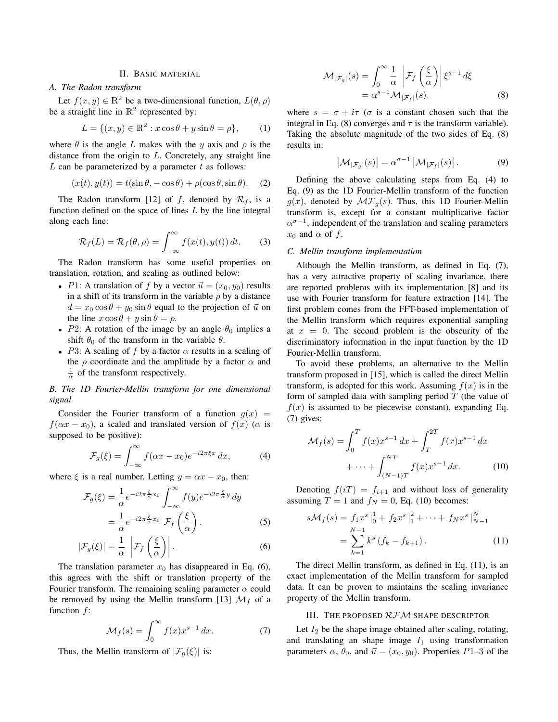## II. BASIC MATERIAL

# *A. The Radon transform*

Let  $f(x, y) \in \mathbb{R}^2$  be a two-dimensional function,  $L(\theta, \rho)$ be a straight line in  $\mathbb{R}^2$  represented by:

$$
L = \{(x, y) \in \mathbb{R}^2 : x \cos \theta + y \sin \theta = \rho\},\qquad(1)
$$

where  $\theta$  is the angle L makes with the y axis and  $\rho$  is the distance from the origin to L. Concretely, any straight line  $L$  can be parameterized by a parameter  $t$  as follows:

$$
(x(t), y(t)) = t(\sin \theta, -\cos \theta) + \rho(\cos \theta, \sin \theta). \quad (2)
$$

The Radon transform [12] of f, denoted by  $\mathcal{R}_f$ , is a function defined on the space of lines  $L$  by the line integral along each line:

$$
\mathcal{R}_f(L) = \mathcal{R}_f(\theta, \rho) = \int_{-\infty}^{\infty} f(x(t), y(t)) dt.
$$
 (3)

The Radon transform has some useful properties on translation, rotation, and scaling as outlined below:

- P1: A translation of f by a vector  $\vec{u} = (x_0, y_0)$  results in a shift of its transform in the variable  $\rho$  by a distance  $d = x_0 \cos \theta + y_0 \sin \theta$  equal to the projection of  $\vec{u}$  on the line  $x \cos \theta + y \sin \theta = \rho$ .
- P2: A rotation of the image by an angle  $\theta_0$  implies a shift  $\theta_0$  of the transform in the variable  $\theta$ .
- P3: A scaling of f by a factor  $\alpha$  results in a scaling of the  $\rho$  coordinate and the amplitude by a factor  $\alpha$  and  $\frac{1}{\alpha}$  of the transform respectively.

# *B. The 1D Fourier-Mellin transform for one dimensional signal*

Consider the Fourier transform of a function  $q(x)$  =  $f(\alpha x - x_0)$ , a scaled and translated version of  $f(x)$  ( $\alpha$  is supposed to be positive):

$$
\mathcal{F}_g(\xi) = \int_{-\infty}^{\infty} f(\alpha x - x_0) e^{-i2\pi \xi x} dx, \tag{4}
$$

where  $\xi$  is a real number. Letting  $y = \alpha x - x_0$ , then:

$$
\mathcal{F}_g(\xi) = \frac{1}{\alpha} e^{-i2\pi \frac{\xi}{\alpha} x_0} \int_{-\infty}^{\infty} f(y) e^{-i2\pi \frac{\xi}{\alpha} y} dy
$$

$$
= \frac{1}{\alpha} e^{-i2\pi \frac{\xi}{\alpha} x_0} \mathcal{F}_f\left(\frac{\xi}{\alpha}\right).
$$
(5)

$$
|\mathcal{F}_g(\xi)| = \frac{1}{\alpha} \left| \mathcal{F}_f\left(\frac{\xi}{\alpha}\right) \right|.
$$
 (6)

The translation parameter  $x_0$  has disappeared in Eq. (6), this agrees with the shift or translation property of the Fourier transform. The remaining scaling parameter  $\alpha$  could be removed by using the Mellin transform [13]  $\mathcal{M}_f$  of a function  $f$ :

$$
\mathcal{M}_f(s) = \int_0^\infty f(x) x^{s-1} dx.
$$
 (7)

Thus, the Mellin transform of  $|\mathcal{F}_q(\xi)|$  is:

$$
\mathcal{M}_{|\mathcal{F}_g|}(s) = \int_0^\infty \frac{1}{\alpha} \left| \mathcal{F}_f\left(\frac{\xi}{\alpha}\right) \right| \xi^{s-1} d\xi
$$
  
=  $\alpha^{s-1} \mathcal{M}_{|\mathcal{F}_f|}(s).$  (8)

where  $s = \sigma + i\tau$  ( $\sigma$  is a constant chosen such that the integral in Eq. (8) converges and  $\tau$  is the transform variable). Taking the absolute magnitude of the two sides of Eq. (8) results in:

$$
\left|\mathcal{M}_{|\mathcal{F}_g|}(s)\right| = \alpha^{\sigma-1} \left|\mathcal{M}_{|\mathcal{F}_f|}(s)\right|.
$$
 (9)

Defining the above calculating steps from Eq. (4) to Eq. (9) as the 1D Fourier-Mellin transform of the function  $g(x)$ , denoted by  $\mathcal{MF}_g(s)$ . Thus, this 1D Fourier-Mellin transform is, except for a constant multiplicative factor  $\alpha^{\sigma-1}$ , independent of the translation and scaling parameters  $x_0$  and  $\alpha$  of f.

#### *C. Mellin transform implementation*

Although the Mellin transform, as defined in Eq. (7), has a very attractive property of scaling invariance, there are reported problems with its implementation [8] and its use with Fourier transform for feature extraction [14]. The first problem comes from the FFT-based implementation of the Mellin transform which requires exponential sampling at  $x = 0$ . The second problem is the obscurity of the discriminatory information in the input function by the 1D Fourier-Mellin transform.

To avoid these problems, an alternative to the Mellin transform proposed in [15], which is called the direct Mellin transform, is adopted for this work. Assuming  $f(x)$  is in the form of sampled data with sampling period  $T$  (the value of  $f(x)$  is assumed to be piecewise constant), expanding Eq. (7) gives:

$$
\mathcal{M}_f(s) = \int_0^T f(x)x^{s-1} dx + \int_T^{2T} f(x)x^{s-1} dx
$$
  
+ ... + 
$$
\int_{(N-1)T}^{NT} f(x)x^{s-1} dx.
$$
 (10)

Denoting  $f(iT) = f_{i+1}$  and without loss of generality assuming  $T = 1$  and  $f_N = 0$ , Eq. (10) becomes:

$$
s\mathcal{M}_f(s) = f_1 x^s \Big|_0^1 + f_2 x^s \Big|_1^2 + \dots + f_N x^s \Big|_{N-1}^N
$$
  
= 
$$
\sum_{k=1}^{N-1} k^s \left( f_k - f_{k+1} \right). \tag{11}
$$

The direct Mellin transform, as defined in Eq. (11), is an exact implementation of the Mellin transform for sampled data. It can be proven to maintains the scaling invariance property of the Mellin transform.

#### III. THE PROPOSED RFM SHAPE DESCRIPTOR

Let  $I_2$  be the shape image obtained after scaling, rotating, and translating an shape image  $I_1$  using transformation parameters  $\alpha$ ,  $\theta_0$ , and  $\vec{u} = (x_0, y_0)$ . Properties P1–3 of the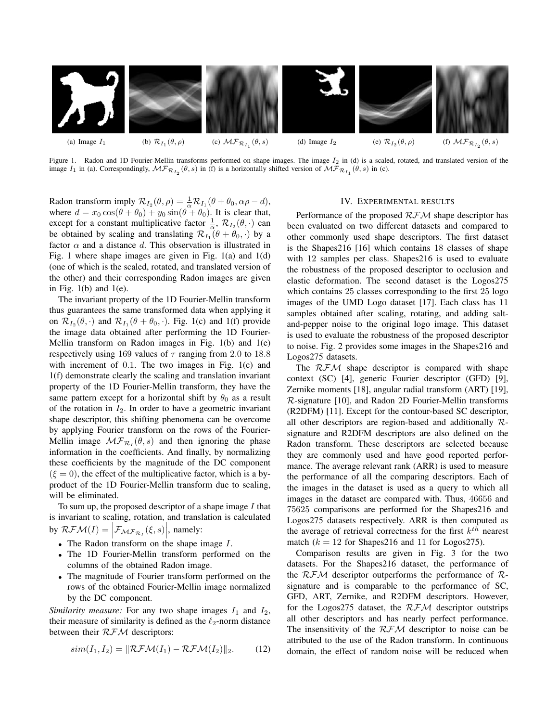

Figure 1. Radon and 1D Fourier-Mellin transforms performed on shape images. The image  $I_2$  in (d) is a scaled, rotated, and translated version of the image  $I_1$  in (a). Correspondingly,  $\mathcal{MF}_{\mathcal{R}_{I_2}}(\theta, s)$  in (f) is a horizontally shifted version of  $\mathcal{MF}_{\mathcal{R}_{I_1}}(\theta, s)$  in (c).

Radon transform imply  $\mathcal{R}_{I_2}(\theta, \rho) = \frac{1}{\alpha} \mathcal{R}_{I_1}(\theta + \theta_0, \alpha \rho - d),$ where  $d = x_0 \cos(\theta + \theta_0) + y_0 \sin(\theta + \theta_0)$ . It is clear that, except for a constant multiplicative factor  $\frac{1}{\alpha}$ ,  $\mathcal{R}_{I_2}(\theta, \cdot)$  can be obtained by scaling and translating  $\mathcal{R}_{I_1}(\theta + \theta_0, \cdot)$  by a factor  $\alpha$  and a distance d. This observation is illustrated in Fig. 1 where shape images are given in Fig. 1(a) and 1(d) (one of which is the scaled, rotated, and translated version of the other) and their corresponding Radon images are given in Fig.  $1(b)$  and  $1(e)$ .

The invariant property of the 1D Fourier-Mellin transform thus guarantees the same transformed data when applying it on  $\mathcal{R}_{I_2}(\theta, \cdot)$  and  $\mathcal{R}_{I_1}(\theta + \theta_0, \cdot)$ . Fig. 1(c) and 1(f) provide the image data obtained after performing the 1D Fourier-Mellin transform on Radon images in Fig. 1(b) and 1(e) respectively using 169 values of  $\tau$  ranging from 2.0 to 18.8 with increment of 0.1. The two images in Fig. 1(c) and 1(f) demonstrate clearly the scaling and translation invariant property of the 1D Fourier-Mellin transform, they have the same pattern except for a horizontal shift by  $\theta_0$  as a result of the rotation in  $I_2$ . In order to have a geometric invariant shape descriptor, this shifting phenomena can be overcome by applying Fourier transform on the rows of the Fourier-Mellin image  $\mathcal{MF}_{\mathcal{R}_I}(\theta, s)$  and then ignoring the phase information in the coefficients. And finally, by normalizing these coefficients by the magnitude of the DC component  $(\xi = 0)$ , the effect of the multiplicative factor, which is a byproduct of the 1D Fourier-Mellin transform due to scaling, will be eliminated.

To sum up, the proposed descriptor of a shape image  $I$  that is invariant to scaling, rotation, and translation is calculated by  $RFM(I) = \Big| \mathcal{F}_{MF_{\mathcal{R}_I}}(\xi, s) \Big|$ , namely:

- The Radon transform on the shape image  $I$ .
- The 1D Fourier-Mellin transform performed on the columns of the obtained Radon image.
- The magnitude of Fourier transform performed on the rows of the obtained Fourier-Mellin image normalized by the DC component.

*Similarity measure:* For any two shape images  $I_1$  and  $I_2$ , their measure of similarity is defined as the  $\ell_2$ -norm distance between their  $RFM$  descriptors:

$$
sim(I_1, I_2) = ||\mathcal{RFM}(I_1) - \mathcal{RFM}(I_2)||_2.
$$
 (12)

#### IV. EXPERIMENTAL RESULTS

Performance of the proposed  $RFM$  shape descriptor has been evaluated on two different datasets and compared to other commonly used shape descriptors. The first dataset is the Shapes216 [16] which contains 18 classes of shape with 12 samples per class. Shapes 216 is used to evaluate the robustness of the proposed descriptor to occlusion and elastic deformation. The second dataset is the Logos275 which contains 25 classes corresponding to the first 25 logo images of the UMD Logo dataset [17]. Each class has 11 samples obtained after scaling, rotating, and adding saltand-pepper noise to the original logo image. This dataset is used to evaluate the robustness of the proposed descriptor to noise. Fig. 2 provides some images in the Shapes216 and Logos275 datasets.

The  $RFM$  shape descriptor is compared with shape context (SC) [4], generic Fourier descriptor (GFD) [9], Zernike moments [18], angular radial transform (ART) [19], R-signature [10], and Radon 2D Fourier-Mellin transforms (R2DFM) [11]. Except for the contour-based SC descriptor, all other descriptors are region-based and additionally Rsignature and R2DFM descriptors are also defined on the Radon transform. These descriptors are selected because they are commonly used and have good reported performance. The average relevant rank (ARR) is used to measure the performance of all the comparing descriptors. Each of the images in the dataset is used as a query to which all images in the dataset are compared with. Thus, 46656 and 75625 comparisons are performed for the Shapes216 and Logos275 datasets respectively. ARR is then computed as the average of retrieval correctness for the first  $k^{th}$  nearest match  $(k = 12$  for Shapes216 and 11 for Logos275).

Comparison results are given in Fig. 3 for the two datasets. For the Shapes216 dataset, the performance of the  $RFM$  descriptor outperforms the performance of Rsignature and is comparable to the performance of SC, GFD, ART, Zernike, and R2DFM descriptors. However, for the Logos 275 dataset, the  $RFM$  descriptor outstrips all other descriptors and has nearly perfect performance. The insensitivity of the  $RFM$  descriptor to noise can be attributed to the use of the Radon transform. In continuous domain, the effect of random noise will be reduced when